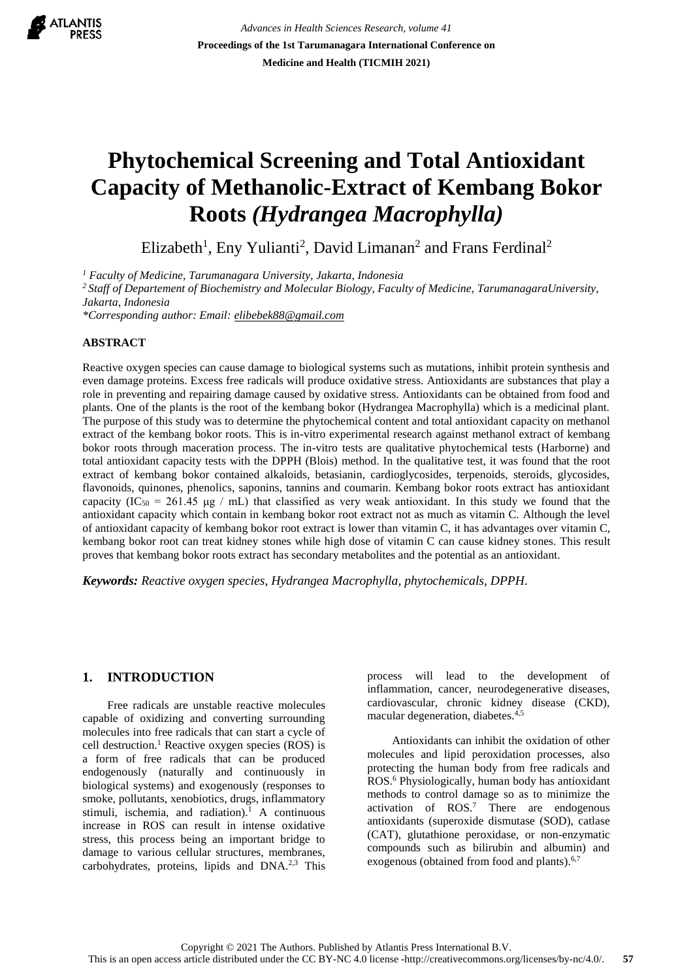

*Advances in Health Sciences Research, volume 41* **Proceedings of the 1st Tarumanagara International Conference on Medicine and Health (TICMIH 2021)**

# **Phytochemical Screening and Total Antioxidant Capacity of Methanolic-Extract of Kembang Bokor Roots** *(Hydrangea Macrophylla)*

Elizabeth<sup>1</sup>, Eny Yulianti<sup>2</sup>, David Limanan<sup>2</sup> and Frans Ferdinal<sup>2</sup>

*<sup>1</sup> Faculty of Medicine, Tarumanagara University, Jakarta, Indonesia* 

*<sup>2</sup>Staff of Departement of Biochemistry and Molecular Biology, Faculty of Medicine, TarumanagaraUniversity, Jakarta, Indonesia*

*\*Corresponding author: Email: [elibebek88@gmail.com](mailto:elibebek88@gmail.com)*

#### **ABSTRACT**

Reactive oxygen species can cause damage to biological systems such as mutations, inhibit protein synthesis and even damage proteins. Excess free radicals will produce oxidative stress. Antioxidants are substances that play a role in preventing and repairing damage caused by oxidative stress. Antioxidants can be obtained from food and plants. One of the plants is the root of the kembang bokor (Hydrangea Macrophylla) which is a medicinal plant. The purpose of this study was to determine the phytochemical content and total antioxidant capacity on methanol extract of the kembang bokor roots. This is in-vitro experimental research against methanol extract of kembang bokor roots through maceration process. The in-vitro tests are qualitative phytochemical tests (Harborne) and total antioxidant capacity tests with the DPPH (Blois) method. In the qualitative test, it was found that the root extract of kembang bokor contained alkaloids, betasianin, cardioglycosides, terpenoids, steroids, glycosides, flavonoids, quinones, phenolics, saponins, tannins and coumarin. Kembang bokor roots extract has antioxidant capacity (IC<sub>50</sub> = 261.45 μg / mL) that classified as very weak antioxidant. In this study we found that the antioxidant capacity which contain in kembang bokor root extract not as much as vitamin C. Although the level of antioxidant capacity of kembang bokor root extract is lower than vitamin C, it has advantages over vitamin C, kembang bokor root can treat kidney stones while high dose of vitamin C can cause kidney stones. This result proves that kembang bokor roots extract has secondary metabolites and the potential as an antioxidant.

*Keywords: Reactive oxygen species, Hydrangea Macrophylla, phytochemicals, DPPH.*

### **1. INTRODUCTION**

Free radicals are unstable reactive molecules capable of oxidizing and converting surrounding molecules into free radicals that can start a cycle of cell destruction.<sup>1</sup> Reactive oxygen species (ROS) is a form of free radicals that can be produced endogenously (naturally and continuously in biological systems) and exogenously (responses to smoke, pollutants, xenobiotics, drugs, inflammatory stimuli, ischemia, and radiation).<sup>1</sup> A continuous increase in ROS can result in intense oxidative stress, this process being an important bridge to damage to various cellular structures, membranes, carbohydrates, proteins, lipids and DNA.<sup>2,3</sup> This process will lead to the development of inflammation, cancer, neurodegenerative diseases, cardiovascular, chronic kidney disease (CKD), macular degeneration, diabetes.4,5

Antioxidants can inhibit the oxidation of other molecules and lipid peroxidation processes, also protecting the human body from free radicals and ROS. <sup>6</sup> Physiologically, human body has antioxidant methods to control damage so as to minimize the activation of ROS.<sup>7</sup> There are endogenous antioxidants (superoxide dismutase (SOD), catlase (CAT), glutathione peroxidase, or non-enzymatic compounds such as bilirubin and albumin) and exogenous (obtained from food and plants).<sup>6,7</sup>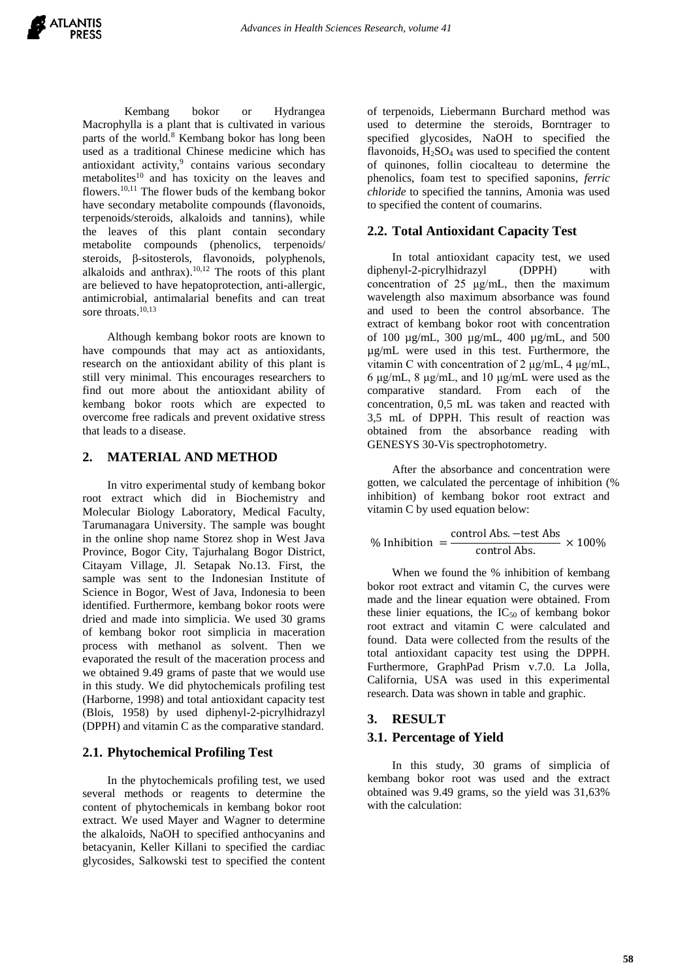

Kembang bokor or Hydrangea Macrophylla is a plant that is cultivated in various parts of the world.<sup>8</sup> Kembang bokor has long been used as a traditional Chinese medicine which has antioxidant activity,<sup>9</sup> contains various secondary metabolites<sup>10</sup> and has toxicity on the leaves and flowers.10,11 The flower buds of the kembang bokor have secondary metabolite compounds (flavonoids, terpenoids/steroids, alkaloids and tannins), while the leaves of this plant contain secondary metabolite compounds (phenolics, terpenoids/ steroids, β-sitosterols, flavonoids, polyphenols, alkaloids and anthrax). $10,12$  The roots of this plant are believed to have hepatoprotection, anti-allergic, antimicrobial, antimalarial benefits and can treat sore throats.<sup>10,13</sup>

Although kembang bokor roots are known to have compounds that may act as antioxidants, research on the antioxidant ability of this plant is still very minimal. This encourages researchers to find out more about the antioxidant ability of kembang bokor roots which are expected to overcome free radicals and prevent oxidative stress that leads to a disease.

## **2. MATERIAL AND METHOD**

In vitro experimental study of kembang bokor root extract which did in Biochemistry and Molecular Biology Laboratory, Medical Faculty, Tarumanagara University. The sample was bought in the online shop name Storez shop in West Java Province, Bogor City, Tajurhalang Bogor District, Citayam Village, Jl. Setapak No.13. First, the sample was sent to the Indonesian Institute of Science in Bogor, West of Java, Indonesia to been identified. Furthermore, kembang bokor roots were dried and made into simplicia. We used 30 grams of kembang bokor root simplicia in maceration process with methanol as solvent. Then we evaporated the result of the maceration process and we obtained 9.49 grams of paste that we would use in this study. We did phytochemicals profiling test (Harborne, 1998) and total antioxidant capacity test (Blois, 1958) by used diphenyl-2-picrylhidrazyl (DPPH) and vitamin C as the comparative standard.

### **2.1. Phytochemical Profiling Test**

In the phytochemicals profiling test, we used several methods or reagents to determine the content of phytochemicals in kembang bokor root extract. We used Mayer and Wagner to determine the alkaloids, NaOH to specified anthocyanins and betacyanin, Keller Killani to specified the cardiac glycosides, Salkowski test to specified the content of terpenoids, Liebermann Burchard method was used to determine the steroids, Borntrager to specified glycosides, NaOH to specified the flavonoids,  $H<sub>2</sub>SO<sub>4</sub>$  was used to specified the content of quinones, follin ciocalteau to determine the phenolics, foam test to specified saponins, *ferric chloride* to specified the tannins, Amonia was used to specified the content of coumarins.

## **2.2. Total Antioxidant Capacity Test**

In total antioxidant capacity test, we used diphenyl-2-picrylhidrazyl (DPPH) with concentration of 25 μg/mL, then the maximum wavelength also maximum absorbance was found and used to been the control absorbance. The extract of kembang bokor root with concentration of 100 µg/mL, 300 µg/mL, 400 µg/mL, and 500 µg/mL were used in this test. Furthermore, the vitamin C with concentration of 2 μg/mL, 4 μg/mL, 6 μg/mL, 8 μg/mL, and 10 μg/mL were used as the comparative standard. From each of the concentration, 0,5 mL was taken and reacted with 3,5 mL of DPPH. This result of reaction was obtained from the absorbance reading with GENESYS 30-Vis spectrophotometry.

After the absorbance and concentration were gotten, we calculated the percentage of inhibition (% inhibition) of kembang bokor root extract and vitamin C by used equation below:

$$
\% Inhibition = \frac{\text{control Abs.} - \text{test Abs}}{\text{control Abs.}} \times 100\%
$$

When we found the % inhibition of kembang bokor root extract and vitamin C, the curves were made and the linear equation were obtained. From these linier equations, the  $IC_{50}$  of kembang bokor root extract and vitamin C were calculated and found. Data were collected from the results of the total antioxidant capacity test using the DPPH. Furthermore, GraphPad Prism v.7.0. La Jolla, California, USA was used in this experimental research. Data was shown in table and graphic.

# **3. RESULT**

### **3.1. Percentage of Yield**

In this study, 30 grams of simplicia of kembang bokor root was used and the extract obtained was 9.49 grams, so the yield was 31,63% with the calculation: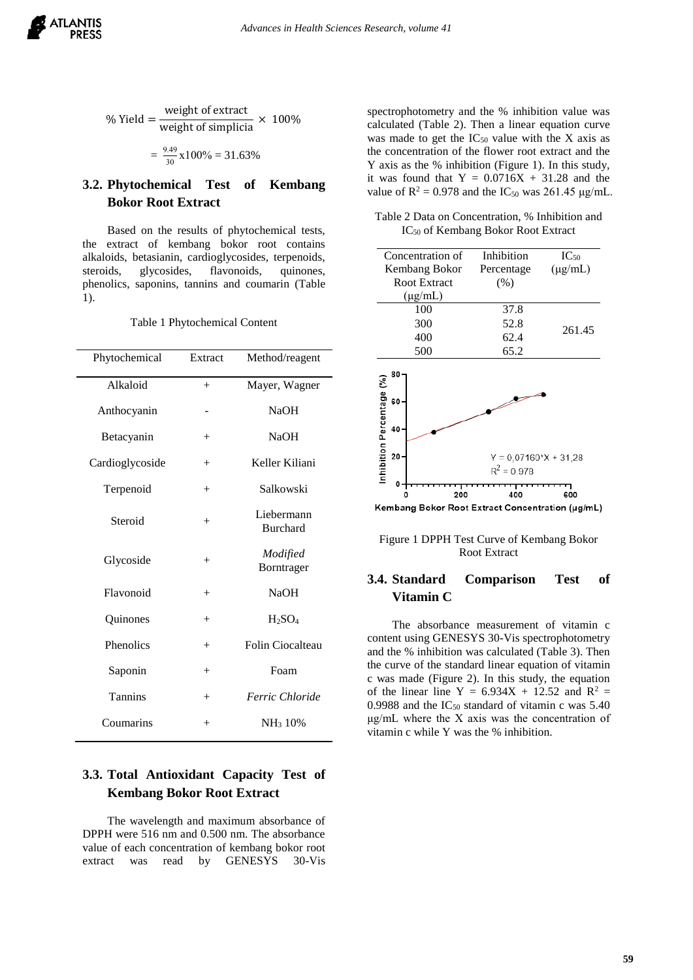

$$
\% \text{ Yield} = \frac{\text{weight of extract}}{\text{weight of simplicial}} \times 100\%
$$

$$
=\frac{9.49}{30}x100\% = 31.63\%
$$

# **3.2. Phytochemical Test of Kembang Bokor Root Extract**

Based on the results of phytochemical tests, the extract of kembang bokor root contains alkaloids, betasianin, cardioglycosides, terpenoids, steroids, glycosides, flavonoids, quinones, phenolics, saponins, tannins and coumarin (Table 1).

Table 1 Phytochemical Content

| Phytochemical   | Extract            | Method/reagent                |
|-----------------|--------------------|-------------------------------|
| Alkaloid        | $+$                | Mayer, Wagner                 |
| Anthocyanin     |                    | <b>NaOH</b>                   |
| Betacyanin      | $^{+}$             | <b>NaOH</b>                   |
| Cardioglycoside | $^{+}$             | Keller Kiliani                |
| Terpenoid       | $^{+}$             | Salkowski                     |
| Steroid         | $^{+}$             | Liebermann<br><b>Burchard</b> |
| Glycoside       | $^{+}$             | Modified<br>Borntrager        |
| Flavonoid       | $^{+}$             | <b>NaOH</b>                   |
| Quinones        | $^{+}$             | $H_2SO_4$                     |
| Phenolics       | $^{+}$             | Folin Ciocalteau              |
| Saponin         | $^{+}$             | Foam                          |
| <b>Tannins</b>  | $^{+}$             | Ferric Chloride               |
| Coumarins       | $\hspace{0.1mm} +$ | NH <sub>3</sub> 10%           |

# **3.3. Total Antioxidant Capacity Test of Kembang Bokor Root Extract**

The wavelength and maximum absorbance of DPPH were 516 nm and 0.500 nm. The absorbance value of each concentration of kembang bokor root extract was read by GENESYS 30-Vis

spectrophotometry and the % inhibition value was calculated (Table 2). Then a linear equation curve was made to get the  $IC_{50}$  value with the X axis as the concentration of the flower root extract and the Y axis as the % inhibition (Figure 1). In this study, it was found that  $Y = 0.0716X + 31.28$  and the value of  $R^2 = 0.978$  and the IC<sub>50</sub> was 261.45 μg/mL.

Table 2 Data on Concentration, % Inhibition and IC<sub>50</sub> of Kembang Bokor Root Extract

|                         |    | Concentration of    | Inhibition                                              | $IC_{50}$    |  |
|-------------------------|----|---------------------|---------------------------------------------------------|--------------|--|
|                         |    | Kembang Bokor       | Percentage                                              | $(\mu g/mL)$ |  |
|                         |    | <b>Root Extract</b> | (% )                                                    |              |  |
|                         |    | $(\mu g/mL)$        |                                                         |              |  |
|                         |    | 100                 | 37.8                                                    |              |  |
|                         |    | 300                 | 52.8                                                    | 261.45       |  |
|                         |    | 400                 | 62.4                                                    |              |  |
|                         |    | 500                 | 65.2                                                    |              |  |
|                         | 80 |                     |                                                         |              |  |
| iibition Percentage (%) | 60 |                     |                                                         |              |  |
|                         | 40 |                     |                                                         |              |  |
|                         | 20 |                     | $Y = 0.07160$ <sup>*</sup> $X + 31.28$<br>$R^2 = 0.978$ |              |  |

200 400 600 Kembang Bokor Root Extract Concentration (µg/mL)

Figure 1 DPPH Test Curve of Kembang Bokor Root Extract

# **3.4. Standard Comparison Test of Vitamin C**

The absorbance measurement of vitamin c content using GENESYS 30-Vis spectrophotometry and the % inhibition was calculated (Table 3). Then the curve of the standard linear equation of vitamin c was made (Figure 2). In this study, the equation of the linear line Y =  $6.934X + 12.52$  and R<sup>2</sup> = 0.9988 and the  $IC_{50}$  standard of vitamin c was 5.40 μg/mL where the X axis was the concentration of vitamin c while Y was the % inhibition.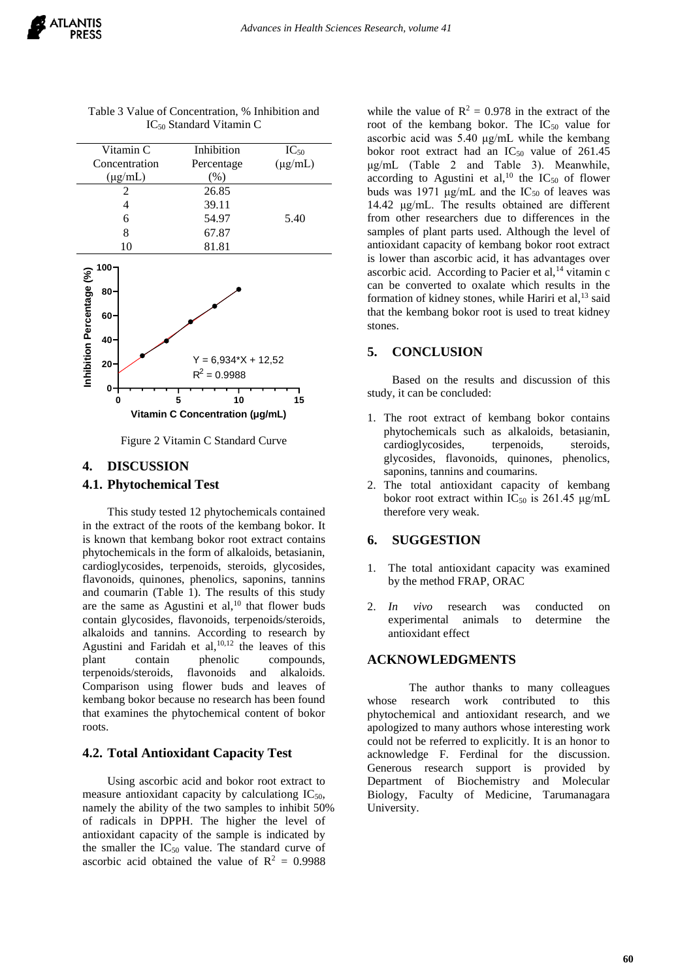| Vitamin C                                        | Inhibition                              | $IC_{50}$    |
|--------------------------------------------------|-----------------------------------------|--------------|
| Concentration                                    | Percentage                              | $(\mu g/mL)$ |
| $(\mu g/mL)$                                     | (%)                                     |              |
| 2                                                | 26.85                                   |              |
| 4                                                | 39.11                                   |              |
| 6                                                | 54.97                                   | 5.40         |
| 8                                                | 67.87                                   |              |
| 10                                               | 81.81                                   |              |
| $100 -$<br>Inhibition Percentage (%)<br>80<br>60 |                                         |              |
| $40 -$                                           |                                         |              |
| 20 <sub>1</sub>                                  | $Y = 6,934*X + 12,52$<br>$R^2 = 0.9988$ |              |
| 0                                                |                                         |              |

Table 3 Value of Concentration, % Inhibition and IC<sup>50</sup> Standard Vitamin C



**0 5 10 15**

# **4. DISCUSSION**

## **4.1. Phytochemical Test**

This study tested 12 phytochemicals contained in the extract of the roots of the kembang bokor. It is known that kembang bokor root extract contains phytochemicals in the form of alkaloids, betasianin, cardioglycosides, terpenoids, steroids, glycosides, flavonoids, quinones, phenolics, saponins, tannins and coumarin (Table 1). The results of this study are the same as Agustini et al, $^{10}$  that flower buds contain glycosides, flavonoids, terpenoids/steroids, alkaloids and tannins. According to research by Agustini and Faridah et al,  $10,12$  the leaves of this plant contain phenolic compounds, terpenoids/steroids, flavonoids and alkaloids. Comparison using flower buds and leaves of kembang bokor because no research has been found that examines the phytochemical content of bokor roots.

# **4.2. Total Antioxidant Capacity Test**

Using ascorbic acid and bokor root extract to measure antioxidant capacity by calculationg  $IC_{50}$ , namely the ability of the two samples to inhibit 50% of radicals in DPPH. The higher the level of antioxidant capacity of the sample is indicated by the smaller the  $IC_{50}$  value. The standard curve of ascorbic acid obtained the value of  $R^2 = 0.9988$ 

while the value of  $R^2 = 0.978$  in the extract of the root of the kembang bokor. The  $IC_{50}$  value for ascorbic acid was 5.40 μg/mL while the kembang bokor root extract had an  $IC_{50}$  value of 261.45 μg/mL (Table 2 and Table 3). Meanwhile, according to Agustini et al,<sup>10</sup> the  $IC_{50}$  of flower buds was 1971  $\mu$ g/mL and the IC<sub>50</sub> of leaves was 14.42 μg/mL. The results obtained are different from other researchers due to differences in the samples of plant parts used. Although the level of antioxidant capacity of kembang bokor root extract is lower than ascorbic acid, it has advantages over ascorbic acid. According to Pacier et al,<sup>14</sup> vitamin c can be converted to oxalate which results in the formation of kidney stones, while Hariri et al,<sup>13</sup> said that the kembang bokor root is used to treat kidney stones.

## **5. CONCLUSION**

Based on the results and discussion of this study, it can be concluded:

- 1. The root extract of kembang bokor contains phytochemicals such as alkaloids, betasianin, cardioglycosides, terpenoids, steroids, glycosides, flavonoids, quinones, phenolics, saponins, tannins and coumarins.
- 2. The total antioxidant capacity of kembang bokor root extract within  $IC_{50}$  is 261.45  $\mu$ g/mL therefore very weak.

# **6. SUGGESTION**

- 1. The total antioxidant capacity was examined by the method FRAP, ORAC
- 2. *In vivo* research was conducted on experimental animals to determine the antioxidant effect

# **ACKNOWLEDGMENTS**

The author thanks to many colleagues whose research work contributed to this phytochemical and antioxidant research, and we apologized to many authors whose interesting work could not be referred to explicitly. It is an honor to acknowledge F. Ferdinal for the discussion. Generous research support is provided by Department of Biochemistry and Molecular Biology, Faculty of Medicine, Tarumanagara University.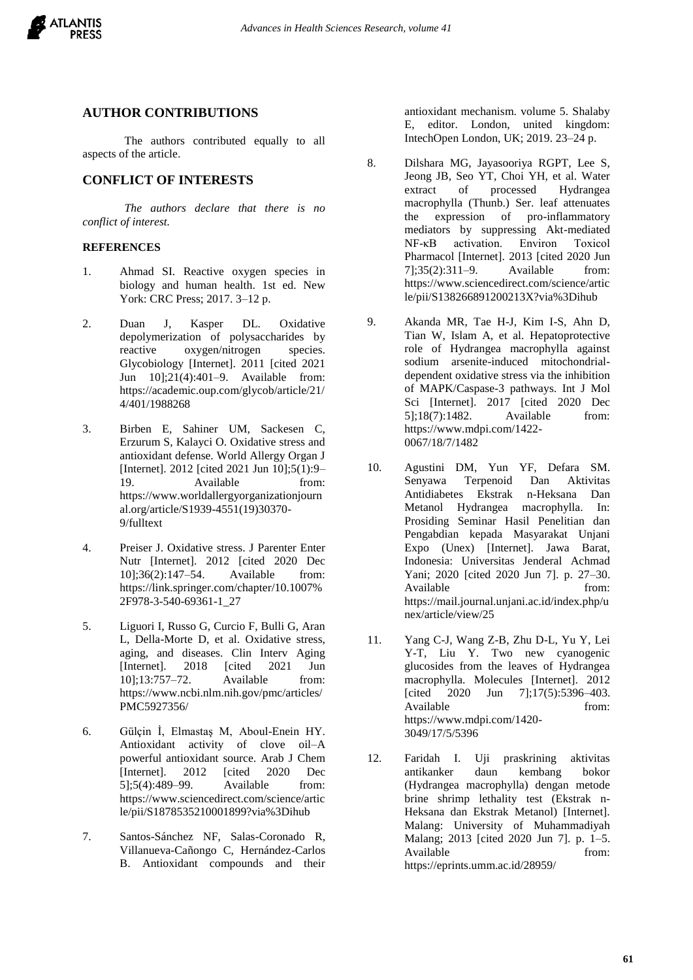

## **AUTHOR CONTRIBUTIONS**

The authors contributed equally to all aspects of the article.

## **CONFLICT OF INTERESTS**

*The authors declare that there is no conflict of interest.*

#### **REFERENCES**

- 1. Ahmad SI. Reactive oxygen species in biology and human health. 1st ed. New York: CRC Press; 2017. 3–12 p.
- 2. Duan J, Kasper DL. Oxidative depolymerization of polysaccharides by reactive oxygen/nitrogen species. Glycobiology [Internet]. 2011 [cited 2021 Jun 10];21(4):401–9. Available from: https://academic.oup.com/glycob/article/21/ 4/401/1988268
- 3. Birben E, Sahiner UM, Sackesen C, Erzurum S, Kalayci O. Oxidative stress and antioxidant defense. World Allergy Organ J [Internet]. 2012 [cited 2021 Jun 10];5(1):9– 19. Available from: https://www.worldallergyorganizationjourn al.org/article/S1939-4551(19)30370- 9/fulltext
- 4. Preiser J. Oxidative stress. J Parenter Enter Nutr [Internet]. 2012 [cited 2020 Dec 10];36(2):147–54. Available from: https://link.springer.com/chapter/10.1007% 2F978-3-540-69361-1\_27
- 5. Liguori I, Russo G, Curcio F, Bulli G, Aran L, Della-Morte D, et al. Oxidative stress, aging, and diseases. Clin Interv Aging [Internet]. 2018 [cited 2021 Jun 10];13:757–72. Available from: https://www.ncbi.nlm.nih.gov/pmc/articles/ PMC5927356/
- 6. Gülçin İ, Elmastaş M, Aboul-Enein HY. Antioxidant activity of clove oil–A powerful antioxidant source. Arab J Chem [Internet]. 2012 [cited 2020 Dec 5];5(4):489–99. Available from: https://www.sciencedirect.com/science/artic le/pii/S1878535210001899?via%3Dihub
- 7. Santos-Sánchez NF, Salas-Coronado R, Villanueva-Cañongo C, Hernández-Carlos B. Antioxidant compounds and their

antioxidant mechanism. volume 5. Shalaby E, editor. London, united kingdom: IntechOpen London, UK; 2019. 23–24 p.

- 8. Dilshara MG, Jayasooriya RGPT, Lee S, Jeong JB, Seo YT, Choi YH, et al. Water extract of processed macrophylla (Thunb.) Ser. leaf attenuates the expression of pro-inflammatory mediators by suppressing Akt-mediated<br>NF-kB activation. Environ Toxicol  $NF-\kappa B$  activation. Pharmacol [Internet]. 2013 [cited 2020 Jun 7];35(2):311–9. Available from: https://www.sciencedirect.com/science/artic le/pii/S138266891200213X?via%3Dihub
- 9. Akanda MR, Tae H-J, Kim I-S, Ahn D, Tian W, Islam A, et al. Hepatoprotective role of Hydrangea macrophylla against sodium arsenite-induced mitochondrialdependent oxidative stress via the inhibition of MAPK/Caspase-3 pathways. Int J Mol Sci [Internet]. 2017 [cited 2020 Dec 5];18(7):1482. Available from: https://www.mdpi.com/1422- 0067/18/7/1482
- 10. Agustini DM, Yun YF, Defara SM. Senyawa Terpenoid Dan Aktivitas Antidiabetes Ekstrak n-Heksana Dan Metanol Hydrangea macrophylla. In: Prosiding Seminar Hasil Penelitian dan Pengabdian kepada Masyarakat Unjani Expo (Unex) [Internet]. Jawa Barat, Indonesia: Universitas Jenderal Achmad Yani; 2020 [cited 2020 Jun 7]. p. 27–30. Available from: https://mail.journal.unjani.ac.id/index.php/u nex/article/view/25
- 11. Yang C-J, Wang Z-B, Zhu D-L, Yu Y, Lei Y-T, Liu Y. Two new cyanogenic glucosides from the leaves of Hydrangea macrophylla. Molecules [Internet]. 2012 [cited 2020 Jun 7];17(5):5396-403. Available from: https://www.mdpi.com/1420- 3049/17/5/5396
- 12. Faridah I. Uji praskrining aktivitas antikanker daun kembang bokor (Hydrangea macrophylla) dengan metode brine shrimp lethality test (Ekstrak n-Heksana dan Ekstrak Metanol) [Internet]. Malang: University of Muhammadiyah Malang; 2013 [cited 2020 Jun 7]. p. 1–5. Available from: https://eprints.umm.ac.id/28959/